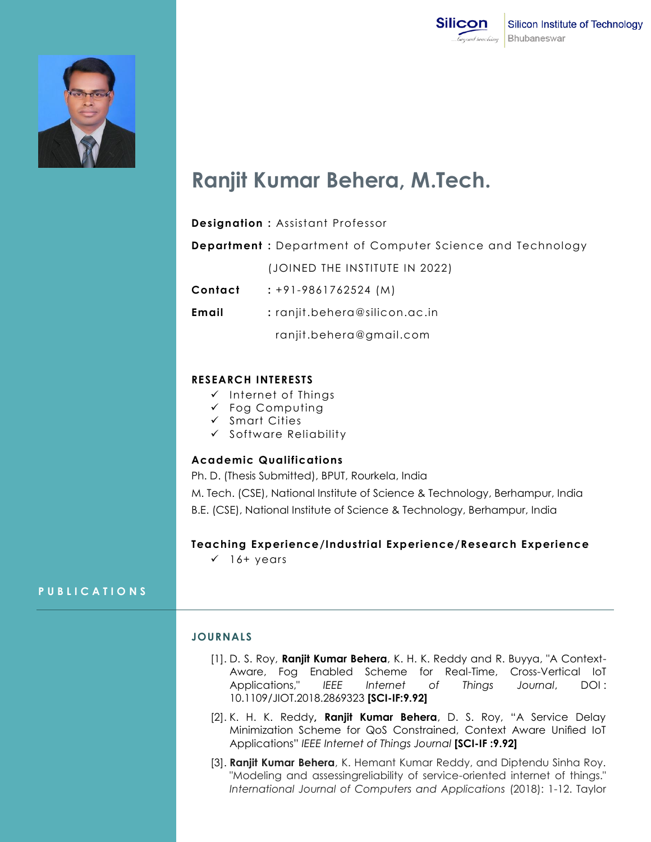



# **Ranjit Kumar Behera, M.Tech.**

|         | <b>Designation: Assistant Professor</b>                           |
|---------|-------------------------------------------------------------------|
|         | <b>Department</b> : Department of Computer Science and Technology |
|         | (JOINED THE INSTITUTE IN 2022)                                    |
| Contact | $: +91 - 9861762524$ (M)                                          |
| Email   | $:$ ranjit.behera@silicon.ac.in                                   |
|         | ranjit.behera@gmail.com                                           |
|         |                                                                   |

# **RESEARCH INTERESTS**

- $\checkmark$  Internet of Things
- $\checkmark$  Fog Computing
- $\checkmark$  Smart Cities
- $\checkmark$  Software Reliability

#### **Academic Qualifications**

Ph. D. (Thesis Submitted), BPUT, Rourkela, India M. Tech. (CSE), National Institute of Science & Technology, Berhampur, India B.E. (CSE), National Institute of Science & Technology, Berhampur, India

# **Teaching Experience/Industrial Experience/Research Experience**

 $\checkmark$  16+ years

#### **P U B L I C A T I O N S**

# **JOURNALS**

- [1]. D. S. Roy, **Ranjit Kumar Behera**, K. H. K. Reddy and R. Buyya, "A Context-Aware, Fog Enabled Scheme for Real-Time, Cross-Vertical IoT Applications," *IEEE Internet of Things Journal*, DOI : 10.1109/JIOT.2018.2869323 **[SCI-IF:9.92]**
- [2]. K. H. K. Reddy**, Ranjit Kumar Behera**, D. S. Roy, "A Service Delay Minimization Scheme for QoS Constrained, Context Aware Unified IoT Applications" *IEEE Internet of Things Journal* **[SCI-IF :9.92]**
- [3]. **Ranjit Kumar Behera**, K. Hemant Kumar Reddy, and Diptendu Sinha Roy. "Modeling and assessingreliability of service-oriented internet of things." *International Journal of Computers and Applications* (2018): 1-12. Taylor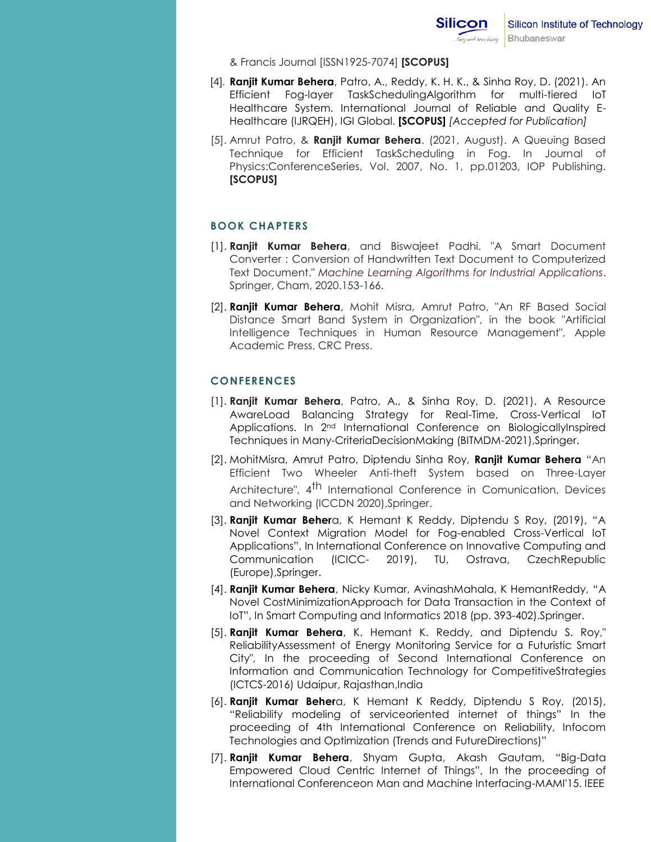& Francis Journal [ISSN1925-7074] **[SCOPUS]**

- [4]. **Ranjit Kumar Behera**, Patro, A., Reddy, K. H. K., & Sinha Roy, D. (2021). An Efficient Fog-layer TaskSchedulingAlgorithm for multi-tiered IoT Healthcare System. International Journal of Reliable and Quality E-Healthcare (IJRQEH), IGI Global. **[SCOPUS]** *[Accepted for Publication]*
- [5]. Amrut Patro, & **Ranjit Kumar Behera**. (2021, August). A Queuing Based Technique for Efficient TaskScheduling in Fog. In Journal of Physics:ConferenceSeries, Vol. 2007, No. 1, pp.01203, IOP Publishing. **[SCOPUS]**

# **BOOK CHAPTERS**

- [1]. **Ranjit Kumar Behera**, and Biswajeet Padhi. "A Smart Document Converter : Conversion of Handwritten Text Document to Computerized Text Document." *Machine Learning Algorithms for Industrial Applications*. Springer, Cham, 2020.153-166.
- [2]. **Ranjit Kumar Behera**, Mohit Misra, Amrut Patro, "An RF Based Social Distance Smart Band System in Organization", in the book "Artificial Intelligence Techniques in Human Resource Management", Apple Academic Press, CRC Press.

# **CONFERENCES**

- [1]. **Ranjit Kumar Behera**, Patro, A., & Sinha Roy, D. (2021). A Resource AwareLoad Balancing Strategy for Real-Time, Cross-Vertical IoT Applications. In 2<sup>nd</sup> International Conference on BiologicallyInspired Techniques in Many-CriteriaDecisionMaking (BITMDM-2021),Springer.
- [2]. MohitMisra, Amrut Patro, Diptendu Sinha Roy, **Ranjit Kumar Behera** "An Efficient Two Wheeler Anti-theft System based on Three-Layer Architecture", 4<sup>th</sup> International Conference in Comunication, Devices and Networking (ICCDN 2020),Springer.
- [3]. **Ranjit Kumar Beher**a, K Hemant K Reddy, Diptendu S Roy, (2019), "A Novel Context Migration Model for Fog-enabled Cross-Vertical IoT Applications", In International Conference on Innovative Computing and Communication (ICICC- 2019), TU, Ostrava, CzechRepublic (Europe),Springer.
- [4]. **Ranjit Kumar Behera**, Nicky Kumar, AvinashMahala, K HemantReddy, "A Novel CostMinimizationApproach for Data Transaction in the Context of IoT", In Smart Computing and Informatics 2018 (pp. 393-402).Springer.
- [5]. **Ranjit Kumar Behera**, K. Hemant K. Reddy, and Diptendu S. Roy," ReliabilityAssessment of Energy Monitoring Service for a Futuristic Smart City", In the proceeding of Second International Conference on Information and Communication Technology for CompetitiveStrategies (ICTCS-2016) Udaipur, Rajasthan,India
- [6]. **Ranjit Kumar Beher**a, K Hemant K Reddy, Diptendu S Roy, (2015), "Reliability modeling of serviceoriented internet of things" In the proceeding of 4th International Conference on Reliability, Infocom Technologies and Optimization (Trends and FutureDirections)"
- [7]. **Ranjit Kumar Behera**, Shyam Gupta, Akash Gautam, "Big-Data Empowered Cloud Centric Internet of Things", In the proceeding of International Conferenceon Man and Machine Interfacing-MAMI'15. IEEE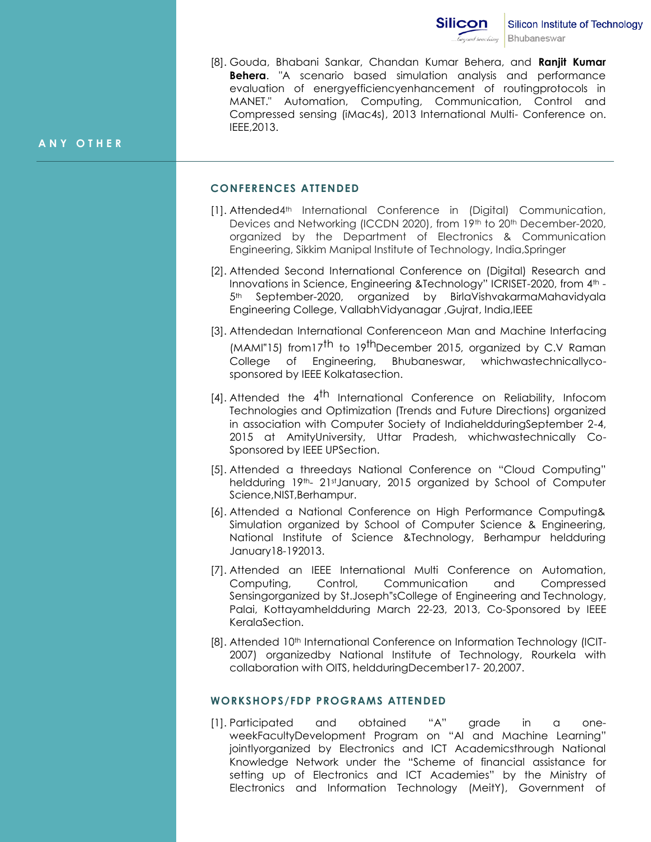

[8]. Gouda, Bhabani Sankar, Chandan Kumar Behera, and **Ranjit Kumar Behera**. "A scenario based simulation analysis and performance evaluation of energyefficiencyenhancement of routingprotocols in MANET." Automation, Computing, Communication, Control and Compressed sensing (iMac4s), 2013 International Multi- Conference on. IEEE,2013.

#### **A N Y O T H E R**

#### **CONFERENCES ATTENDED**

- [1]. Attended4<sup>th</sup> International Conference in (Digital) Communication, Devices and Networking (ICCDN 2020), from 19th to 20th December-2020, organized by the Department of Electronics & Communication Engineering, Sikkim Manipal Institute of Technology, India,Springer
- [2]. Attended Second International Conference on (Digital) Research and Innovations in Science, Engineering &Technology" ICRISET-2020, from 4<sup>th</sup> -5<sup>th</sup> September-2020, organized by BirlaVishvakarmaMahavidyala Engineering College, VallabhVidyanagar ,Gujrat, India,IEEE
- [3]. Attendedan International Conferenceon Man and Machine Interfacing  $(MAMI'15)$  from 17<sup>th</sup> to 19<sup>th</sup> December 2015, organized by C.V Raman College of Engineering, Bhubaneswar, whichwastechnicallycosponsored by IEEE Kolkatasection.
- [4]. Attended the  $4<sup>th</sup>$  International Conference on Reliability, Infocom Technologies and Optimization (Trends and Future Directions) organized in association with Computer Society of IndiaheldduringSeptember 2-4, 2015 at AmityUniversity, Uttar Pradesh, whichwastechnically Co-Sponsored by IEEE UPSection.
- [5]. Attended a threedays National Conference on "Cloud Computing" heldduring 19th- 21st January, 2015 organized by School of Computer Science,NIST,Berhampur.
- [6]. Attended a National Conference on High Performance Computing& Simulation organized by School of Computer Science & Engineering, National Institute of Science &Technology, Berhampur heldduring January18-192013.
- [7]. Attended an IEEE International Multi Conference on Automation, Computing, Control, Communication and Compressed Sensingorganized by St.Joseph"sCollege of Engineering and Technology, Palai, Kottayamheldduring March 22-23, 2013, Co-Sponsored by IEEE KeralaSection.
- [8]. Attended 10<sup>th</sup> International Conference on Information Technology (ICIT-2007) organizedby National Institute of Technology, Rourkela with collaboration with OITS, heldduringDecember17- 20,2007.

#### **WORKSHOPS/FDP PROGRAMS ATTENDED**

[1]. Participated and obtained "A" grade in a oneweekFacultyDevelopment Program on "AI and Machine Learning" jointlyorganized by Electronics and ICT Academicsthrough National Knowledge Network under the "Scheme of financial assistance for setting up of Electronics and ICT Academies" by the Ministry of Electronics and Information Technology (MeitY), Government of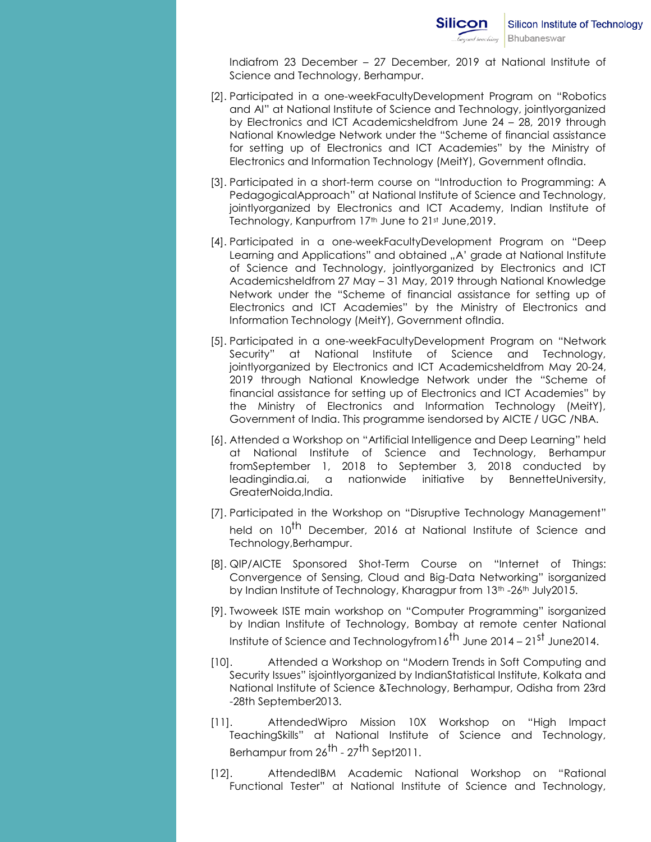Indiafrom 23 December – 27 December, 2019 at National Institute of Science and Technology, Berhampur.

- [2]. Participated in a one-weekFacultyDevelopment Program on "Robotics and AI" at National Institute of Science and Technology, jointlyorganized by Electronics and ICT Academicsheldfrom June 24 – 28, 2019 through National Knowledge Network under the "Scheme of financial assistance for setting up of Electronics and ICT Academies" by the Ministry of Electronics and Information Technology (MeitY), Government ofIndia.
- [3]. Participated in a short-term course on "Introduction to Programming: A PedagogicalApproach" at National Institute of Science and Technology, jointlyorganized by Electronics and ICT Academy, Indian Institute of Technology, Kanpurfrom 17<sup>th</sup> June to 21st June, 2019.
- [4]. Participated in a one-weekFacultyDevelopment Program on "Deep Learning and Applications" and obtained "A' grade at National Institute of Science and Technology, jointlyorganized by Electronics and ICT Academicsheldfrom 27 May – 31 May, 2019 through National Knowledge Network under the "Scheme of financial assistance for setting up of Electronics and ICT Academies" by the Ministry of Electronics and Information Technology (MeitY), Government ofIndia.
- [5]. Participated in a one-weekFacultyDevelopment Program on "Network Security" at National Institute of Science and Technology, jointlyorganized by Electronics and ICT Academicsheldfrom May 20-24, 2019 through National Knowledge Network under the "Scheme of financial assistance for setting up of Electronics and ICT Academies" by the Ministry of Electronics and Information Technology (MeitY), Government of India. This programme isendorsed by AICTE / UGC /NBA.
- [6]. Attended a Workshop on "Artificial Intelligence and Deep Learning" held at National Institute of Science and Technology, Berhampur fromSeptember 1, 2018 to September 3, 2018 conducted by leadingindia.ai, a nationwide initiative by BennetteUniversity, GreaterNoida,India.
- [7]. Participated in the Workshop on "Disruptive Technology Management" held on 10<sup>th</sup> December, 2016 at National Institute of Science and Technology,Berhampur.
- [8]. QIP/AICTE Sponsored Shot-Term Course on "Internet of Things: Convergence of Sensing, Cloud and Big-Data Networking" isorganized by Indian Institute of Technology, Kharagpur from 13<sup>th</sup> -26<sup>th</sup> July2015.
- [9]. Twoweek ISTE main workshop on "Computer Programming" isorganized by Indian Institute of Technology, Bombay at remote center National Institute of Science and Technology from  $16^{th}$  June 2014 – 21st June 2014.
- [10]. Attended a Workshop on "Modern Trends in Soft Computing and Security Issues" isjointlyorganized by IndianStatistical Institute, Kolkata and National Institute of Science &Technology, Berhampur, Odisha from 23rd -28th September2013.
- [11]. AttendedWipro Mission 10X Workshop on "High Impact TeachingSkills" at National Institute of Science and Technology, Berhampur from 26<sup>th</sup> - 27<sup>th</sup> Sept2011.
- [12]. AttendedIBM Academic National Workshop on "Rational Functional Tester" at National Institute of Science and Technology,